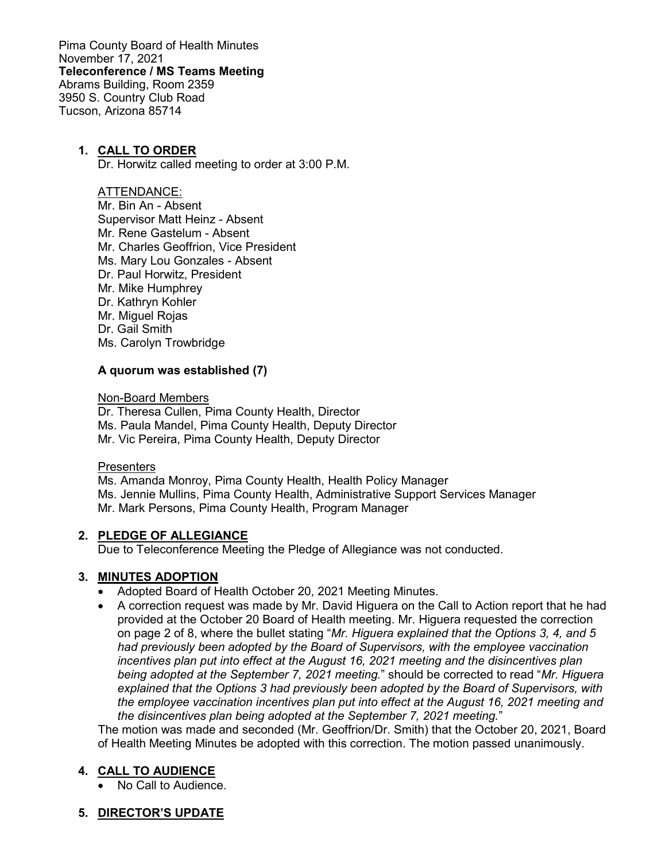Pima County Board of Health Minutes November 17, 2021 **Teleconference / MS Teams Meeting** Abrams Building, Room 2359 3950 S. Country Club Road Tucson, Arizona 85714

### **1. CALL TO ORDER**

Dr. Horwitz called meeting to order at 3:00 P.M.

#### ATTENDANCE:

Mr. Bin An - Absent Supervisor Matt Heinz - Absent Mr. Rene Gastelum - Absent Mr. Charles Geoffrion, Vice President Ms. Mary Lou Gonzales - Absent Dr. Paul Horwitz, President Mr. Mike Humphrey Dr. Kathryn Kohler Mr. Miguel Rojas Dr. Gail Smith Ms. Carolyn Trowbridge

### **A quorum was established (7)**

Non-Board Members

Dr. Theresa Cullen, Pima County Health, Director Ms. Paula Mandel, Pima County Health, Deputy Director Mr. Vic Pereira, Pima County Health, Deputy Director

### **Presenters**

Ms. Amanda Monroy, Pima County Health, Health Policy Manager Ms. Jennie Mullins, Pima County Health, Administrative Support Services Manager Mr. Mark Persons, Pima County Health, Program Manager

### **2. PLEDGE OF ALLEGIANCE**

Due to Teleconference Meeting the Pledge of Allegiance was not conducted.

## **3. MINUTES ADOPTION**

- Adopted Board of Health October 20, 2021 Meeting Minutes.
- A correction request was made by Mr. David Higuera on the Call to Action report that he had provided at the October 20 Board of Health meeting. Mr. Higuera requested the correction on page 2 of 8, where the bullet stating "*Mr. Higuera explained that the Options 3, 4, and 5 had previously been adopted by the Board of Supervisors, with the employee vaccination incentives plan put into effect at the August 16, 2021 meeting and the disincentives plan being adopted at the September 7, 2021 meeting.*" should be corrected to read "*Mr. Higuera explained that the Options 3 had previously been adopted by the Board of Supervisors, with the employee vaccination incentives plan put into effect at the August 16, 2021 meeting and the disincentives plan being adopted at the September 7, 2021 meeting.*"

The motion was made and seconded (Mr. Geoffrion/Dr. Smith) that the October 20, 2021, Board of Health Meeting Minutes be adopted with this correction. The motion passed unanimously.

### **4. CALL TO AUDIENCE**

• No Call to Audience.

## **5. DIRECTOR'S UPDATE**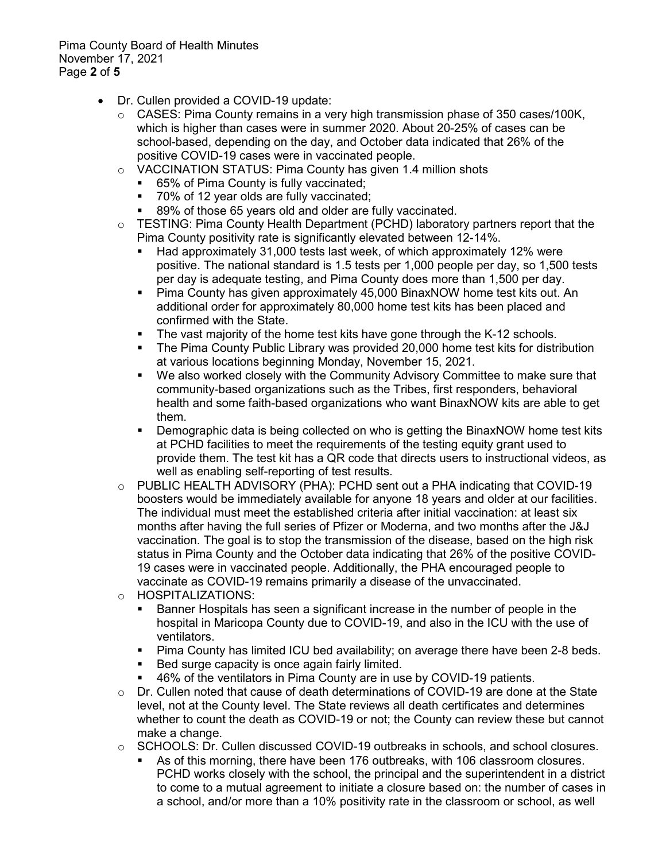Pima County Board of Health Minutes November 17, 2021 Page **2** of **5**

- Dr. Cullen provided a COVID-19 update:
	- o CASES: Pima County remains in a very high transmission phase of 350 cases/100K, which is higher than cases were in summer 2020. About 20-25% of cases can be school-based, depending on the day, and October data indicated that 26% of the positive COVID-19 cases were in vaccinated people.
	- o VACCINATION STATUS: Pima County has given 1.4 million shots
		- 65% of Pima County is fully vaccinated;
		- 70% of 12 year olds are fully vaccinated;
		- 89% of those 65 years old and older are fully vaccinated.
	- $\circ$  TESTING: Pima County Health Department (PCHD) laboratory partners report that the Pima County positivity rate is significantly elevated between 12-14%.
		- Had approximately 31,000 tests last week, of which approximately 12% were positive. The national standard is 1.5 tests per 1,000 people per day, so 1,500 tests per day is adequate testing, and Pima County does more than 1,500 per day.
		- Pima County has given approximately 45,000 BinaxNOW home test kits out. An additional order for approximately 80,000 home test kits has been placed and confirmed with the State.
		- **The vast majority of the home test kits have gone through the K-12 schools.**
		- The Pima County Public Library was provided 20,000 home test kits for distribution at various locations beginning Monday, November 15, 2021.
		- We also worked closely with the Community Advisory Committee to make sure that community-based organizations such as the Tribes, first responders, behavioral health and some faith-based organizations who want BinaxNOW kits are able to get them.
		- Demographic data is being collected on who is getting the BinaxNOW home test kits at PCHD facilities to meet the requirements of the testing equity grant used to provide them. The test kit has a QR code that directs users to instructional videos, as well as enabling self-reporting of test results.
	- o PUBLIC HEALTH ADVISORY (PHA): PCHD sent out a PHA indicating that COVID-19 boosters would be immediately available for anyone 18 years and older at our facilities. The individual must meet the established criteria after initial vaccination: at least six months after having the full series of Pfizer or Moderna, and two months after the J&J vaccination. The goal is to stop the transmission of the disease, based on the high risk status in Pima County and the October data indicating that 26% of the positive COVID-19 cases were in vaccinated people. Additionally, the PHA encouraged people to vaccinate as COVID-19 remains primarily a disease of the unvaccinated.
	- o HOSPITALIZATIONS:
		- Banner Hospitals has seen a significant increase in the number of people in the hospital in Maricopa County due to COVID-19, and also in the ICU with the use of ventilators.
		- Pima County has limited ICU bed availability; on average there have been 2-8 beds.
		- Bed surge capacity is once again fairly limited.
		- 46% of the ventilators in Pima County are in use by COVID-19 patients.
	- $\circ$  Dr. Cullen noted that cause of death determinations of COVID-19 are done at the State level, not at the County level. The State reviews all death certificates and determines whether to count the death as COVID-19 or not; the County can review these but cannot make a change.
	- o SCHOOLS: Dr. Cullen discussed COVID-19 outbreaks in schools, and school closures.
		- As of this morning, there have been 176 outbreaks, with 106 classroom closures. PCHD works closely with the school, the principal and the superintendent in a district to come to a mutual agreement to initiate a closure based on: the number of cases in a school, and/or more than a 10% positivity rate in the classroom or school, as well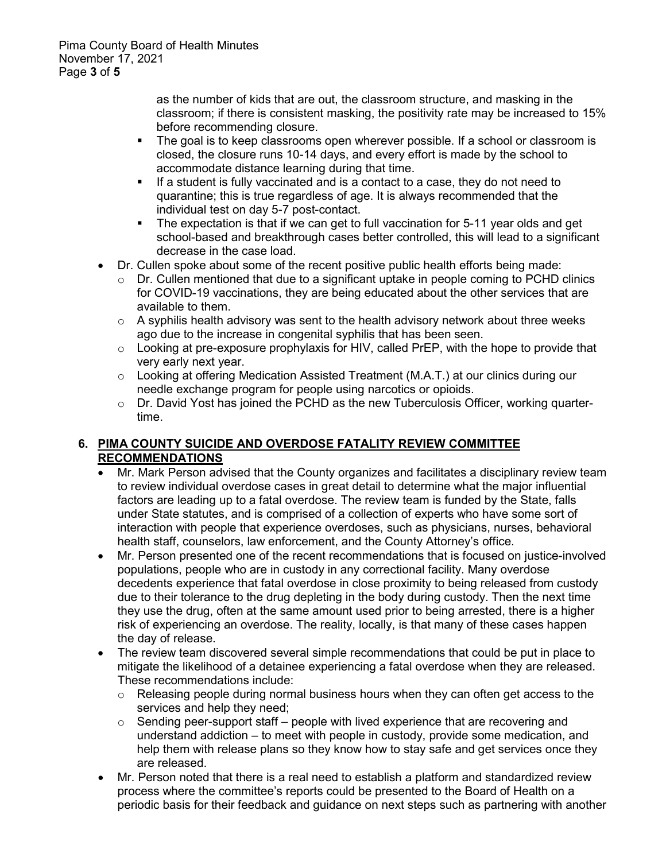as the number of kids that are out, the classroom structure, and masking in the classroom; if there is consistent masking, the positivity rate may be increased to 15% before recommending closure.

- The goal is to keep classrooms open wherever possible. If a school or classroom is closed, the closure runs 10-14 days, and every effort is made by the school to accommodate distance learning during that time.
- If a student is fully vaccinated and is a contact to a case, they do not need to quarantine; this is true regardless of age. It is always recommended that the individual test on day 5-7 post-contact.
- The expectation is that if we can get to full vaccination for 5-11 year olds and get school-based and breakthrough cases better controlled, this will lead to a significant decrease in the case load.
- Dr. Cullen spoke about some of the recent positive public health efforts being made:
	- $\circ$  Dr. Cullen mentioned that due to a significant uptake in people coming to PCHD clinics for COVID-19 vaccinations, they are being educated about the other services that are available to them.
	- $\circ$  A syphilis health advisory was sent to the health advisory network about three weeks ago due to the increase in congenital syphilis that has been seen.
	- $\circ$  Looking at pre-exposure prophylaxis for HIV, called PrEP, with the hope to provide that very early next year.
	- $\circ$  Looking at offering Medication Assisted Treatment (M.A.T.) at our clinics during our needle exchange program for people using narcotics or opioids.
	- o Dr. David Yost has joined the PCHD as the new Tuberculosis Officer, working quartertime.

## **6. PIMA COUNTY SUICIDE AND OVERDOSE FATALITY REVIEW COMMITTEE RECOMMENDATIONS**

- Mr. Mark Person advised that the County organizes and facilitates a disciplinary review team to review individual overdose cases in great detail to determine what the major influential factors are leading up to a fatal overdose. The review team is funded by the State, falls under State statutes, and is comprised of a collection of experts who have some sort of interaction with people that experience overdoses, such as physicians, nurses, behavioral health staff, counselors, law enforcement, and the County Attorney's office.
- Mr. Person presented one of the recent recommendations that is focused on justice-involved populations, people who are in custody in any correctional facility. Many overdose decedents experience that fatal overdose in close proximity to being released from custody due to their tolerance to the drug depleting in the body during custody. Then the next time they use the drug, often at the same amount used prior to being arrested, there is a higher risk of experiencing an overdose. The reality, locally, is that many of these cases happen the day of release.
- The review team discovered several simple recommendations that could be put in place to mitigate the likelihood of a detainee experiencing a fatal overdose when they are released. These recommendations include:
	- $\circ$  Releasing people during normal business hours when they can often get access to the services and help they need;
	- $\circ$  Sending peer-support staff people with lived experience that are recovering and understand addiction – to meet with people in custody, provide some medication, and help them with release plans so they know how to stay safe and get services once they are released.
- Mr. Person noted that there is a real need to establish a platform and standardized review process where the committee's reports could be presented to the Board of Health on a periodic basis for their feedback and guidance on next steps such as partnering with another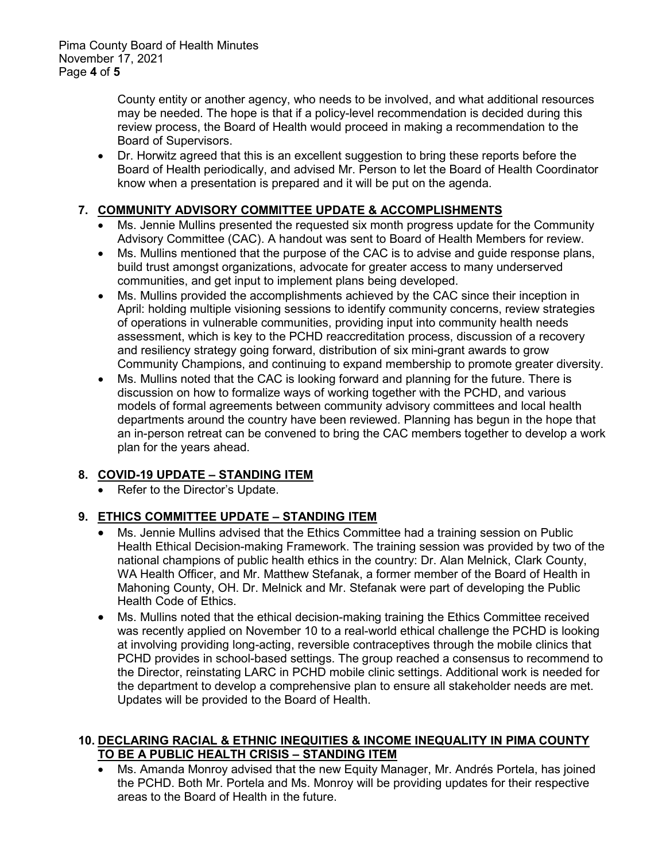County entity or another agency, who needs to be involved, and what additional resources may be needed. The hope is that if a policy-level recommendation is decided during this review process, the Board of Health would proceed in making a recommendation to the Board of Supervisors.

• Dr. Horwitz agreed that this is an excellent suggestion to bring these reports before the Board of Health periodically, and advised Mr. Person to let the Board of Health Coordinator know when a presentation is prepared and it will be put on the agenda.

# **7. COMMUNITY ADVISORY COMMITTEE UPDATE & ACCOMPLISHMENTS**

- Ms. Jennie Mullins presented the requested six month progress update for the Community Advisory Committee (CAC). A handout was sent to Board of Health Members for review.
- Ms. Mullins mentioned that the purpose of the CAC is to advise and guide response plans, build trust amongst organizations, advocate for greater access to many underserved communities, and get input to implement plans being developed.
- Ms. Mullins provided the accomplishments achieved by the CAC since their inception in April: holding multiple visioning sessions to identify community concerns, review strategies of operations in vulnerable communities, providing input into community health needs assessment, which is key to the PCHD reaccreditation process, discussion of a recovery and resiliency strategy going forward, distribution of six mini-grant awards to grow Community Champions, and continuing to expand membership to promote greater diversity.
- Ms. Mullins noted that the CAC is looking forward and planning for the future. There is discussion on how to formalize ways of working together with the PCHD, and various models of formal agreements between community advisory committees and local health departments around the country have been reviewed. Planning has begun in the hope that an in-person retreat can be convened to bring the CAC members together to develop a work plan for the years ahead.

# **8. COVID-19 UPDATE – STANDING ITEM**

Refer to the Director's Update.

# **9. ETHICS COMMITTEE UPDATE – STANDING ITEM**

- Ms. Jennie Mullins advised that the Ethics Committee had a training session on Public Health Ethical Decision-making Framework. The training session was provided by two of the national champions of public health ethics in the country: Dr. Alan Melnick, Clark County, WA Health Officer, and Mr. Matthew Stefanak, a former member of the Board of Health in Mahoning County, OH. Dr. Melnick and Mr. Stefanak were part of developing the Public Health Code of Ethics.
- Ms. Mullins noted that the ethical decision-making training the Ethics Committee received was recently applied on November 10 to a real-world ethical challenge the PCHD is looking at involving providing long-acting, reversible contraceptives through the mobile clinics that PCHD provides in school-based settings. The group reached a consensus to recommend to the Director, reinstating LARC in PCHD mobile clinic settings. Additional work is needed for the department to develop a comprehensive plan to ensure all stakeholder needs are met. Updates will be provided to the Board of Health.

## **10. DECLARING RACIAL & ETHNIC INEQUITIES & INCOME INEQUALITY IN PIMA COUNTY TO BE A PUBLIC HEALTH CRISIS – STANDING ITEM**

• Ms. Amanda Monroy advised that the new Equity Manager, Mr. Andrés Portela, has joined the PCHD. Both Mr. Portela and Ms. Monroy will be providing updates for their respective areas to the Board of Health in the future.